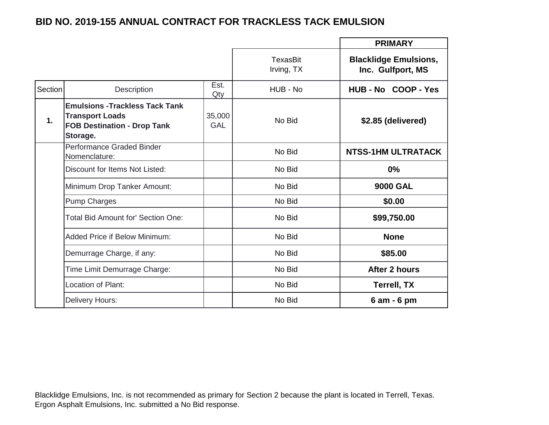## **BID NO. 2019-155 ANNUAL CONTRACT FOR TRACKLESS TACK EMULSION**

|         |                                                                                                                    |                      |                               | <b>PRIMARY</b>                                    |
|---------|--------------------------------------------------------------------------------------------------------------------|----------------------|-------------------------------|---------------------------------------------------|
|         |                                                                                                                    |                      | <b>TexasBit</b><br>Irving, TX | <b>Blacklidge Emulsions,</b><br>Inc. Gulfport, MS |
| Section | Description                                                                                                        | Est.<br>Qty          | HUB - No                      | HUB-No COOP-Yes                                   |
| 1.      | <b>Emulsions - Trackless Tack Tank</b><br><b>Transport Loads</b><br><b>FOB Destination - Drop Tank</b><br>Storage. | 35,000<br><b>GAL</b> | No Bid                        | \$2.85 (delivered)                                |
|         | Performance Graded Binder<br>Nomenclature:                                                                         |                      | No Bid                        | <b>NTSS-1HM ULTRATACK</b>                         |
|         | Discount for Items Not Listed:                                                                                     |                      | No Bid                        | $0\%$                                             |
|         | Minimum Drop Tanker Amount:                                                                                        |                      | No Bid                        | <b>9000 GAL</b>                                   |
|         | <b>Pump Charges</b>                                                                                                |                      | No Bid                        | \$0.00                                            |
|         | <b>Total Bid Amount for' Section One:</b>                                                                          |                      | No Bid                        | \$99,750.00                                       |
|         | <b>Added Price if Below Minimum:</b>                                                                               |                      | No Bid                        | <b>None</b>                                       |
|         | Demurrage Charge, if any:                                                                                          |                      | No Bid                        | \$85.00                                           |
|         | Time Limit Demurrage Charge:                                                                                       |                      | No Bid                        | After 2 hours                                     |
|         | Location of Plant:                                                                                                 |                      | No Bid                        | <b>Terrell, TX</b>                                |
|         | Delivery Hours:                                                                                                    |                      | No Bid                        | 6 am - 6 pm                                       |

Blacklidge Emulsions, Inc. is not recommended as primary for Section 2 because the plant is located in Terrell, Texas. Ergon Asphalt Emulsions, Inc. submitted a No Bid response.